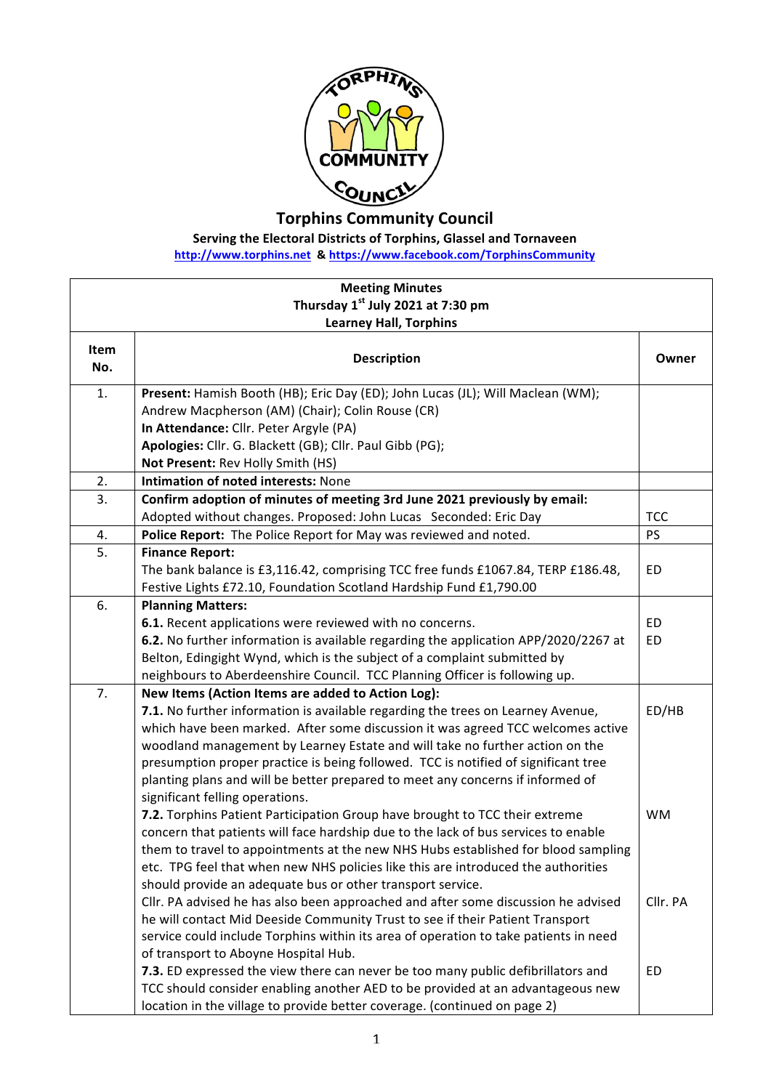

**Torphins Community Council**

**Serving the Electoral Districts of Torphins, Glassel and Tornaveen** 

**http://www.torphins.net & https://www.facebook.com/TorphinsCommunity**

| <b>Meeting Minutes</b>                        |                                                                                                                                                                    |            |  |
|-----------------------------------------------|--------------------------------------------------------------------------------------------------------------------------------------------------------------------|------------|--|
| Thursday 1 <sup>st</sup> July 2021 at 7:30 pm |                                                                                                                                                                    |            |  |
| <b>Learney Hall, Torphins</b>                 |                                                                                                                                                                    |            |  |
| Item<br>No.                                   | <b>Description</b>                                                                                                                                                 | Owner      |  |
| 1.                                            | Present: Hamish Booth (HB); Eric Day (ED); John Lucas (JL); Will Maclean (WM);                                                                                     |            |  |
|                                               | Andrew Macpherson (AM) (Chair); Colin Rouse (CR)                                                                                                                   |            |  |
|                                               | In Attendance: Cllr. Peter Argyle (PA)                                                                                                                             |            |  |
|                                               | Apologies: Cllr. G. Blackett (GB); Cllr. Paul Gibb (PG);                                                                                                           |            |  |
|                                               | Not Present: Rev Holly Smith (HS)                                                                                                                                  |            |  |
| 2.                                            | Intimation of noted interests: None                                                                                                                                |            |  |
| 3.                                            | Confirm adoption of minutes of meeting 3rd June 2021 previously by email:                                                                                          |            |  |
|                                               | Adopted without changes. Proposed: John Lucas Seconded: Eric Day                                                                                                   | <b>TCC</b> |  |
| 4.                                            | Police Report: The Police Report for May was reviewed and noted.                                                                                                   | PS         |  |
| 5.                                            | <b>Finance Report:</b>                                                                                                                                             |            |  |
|                                               | The bank balance is £3,116.42, comprising TCC free funds £1067.84, TERP £186.48,                                                                                   | ED         |  |
|                                               | Festive Lights £72.10, Foundation Scotland Hardship Fund £1,790.00                                                                                                 |            |  |
| 6.                                            | <b>Planning Matters:</b>                                                                                                                                           |            |  |
|                                               | 6.1. Recent applications were reviewed with no concerns.                                                                                                           | <b>ED</b>  |  |
|                                               | 6.2. No further information is available regarding the application APP/2020/2267 at                                                                                | ED         |  |
|                                               | Belton, Edingight Wynd, which is the subject of a complaint submitted by                                                                                           |            |  |
|                                               | neighbours to Aberdeenshire Council. TCC Planning Officer is following up.                                                                                         |            |  |
| 7.                                            | New Items (Action Items are added to Action Log):                                                                                                                  |            |  |
|                                               | 7.1. No further information is available regarding the trees on Learney Avenue,                                                                                    | ED/HB      |  |
|                                               | which have been marked. After some discussion it was agreed TCC welcomes active                                                                                    |            |  |
|                                               | woodland management by Learney Estate and will take no further action on the                                                                                       |            |  |
|                                               | presumption proper practice is being followed. TCC is notified of significant tree                                                                                 |            |  |
|                                               | planting plans and will be better prepared to meet any concerns if informed of                                                                                     |            |  |
|                                               | significant felling operations.                                                                                                                                    |            |  |
|                                               | 7.2. Torphins Patient Participation Group have brought to TCC their extreme                                                                                        | <b>WM</b>  |  |
|                                               | concern that patients will face hardship due to the lack of bus services to enable                                                                                 |            |  |
|                                               | them to travel to appointments at the new NHS Hubs established for blood sampling                                                                                  |            |  |
|                                               | etc. TPG feel that when new NHS policies like this are introduced the authorities<br>should provide an adequate bus or other transport service.                    |            |  |
|                                               |                                                                                                                                                                    | Cllr. PA   |  |
|                                               | Cllr. PA advised he has also been approached and after some discussion he advised<br>he will contact Mid Deeside Community Trust to see if their Patient Transport |            |  |
|                                               | service could include Torphins within its area of operation to take patients in need                                                                               |            |  |
|                                               | of transport to Aboyne Hospital Hub.                                                                                                                               |            |  |
|                                               | 7.3. ED expressed the view there can never be too many public defibrillators and                                                                                   | ED         |  |
|                                               | TCC should consider enabling another AED to be provided at an advantageous new                                                                                     |            |  |
|                                               | location in the village to provide better coverage. (continued on page 2)                                                                                          |            |  |